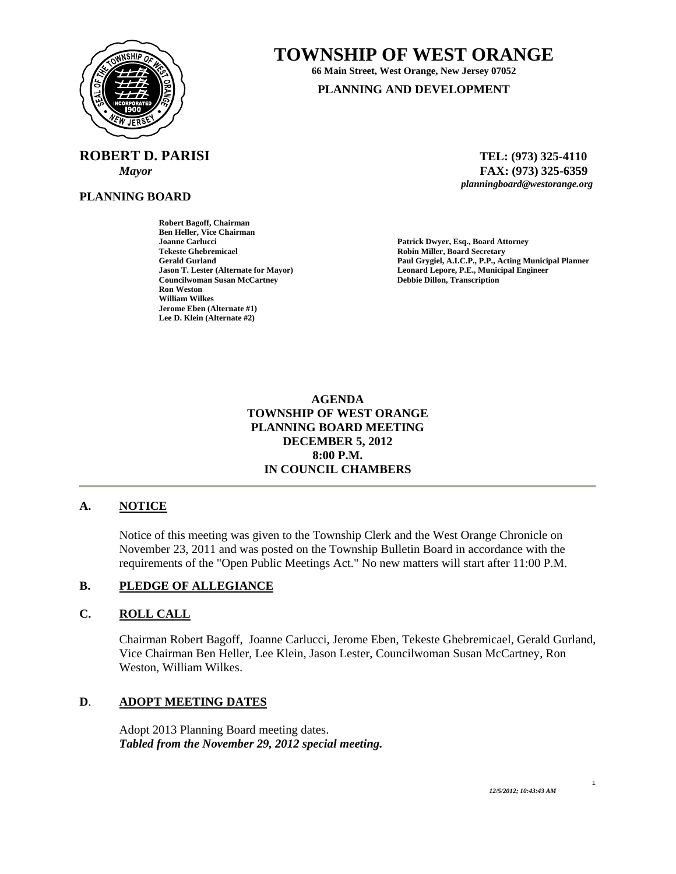

# **TOWNSHIP OF WEST ORANGE**

**66 Main Street, West Orange, New Jersey 07052** 

**PLANNING AND DEVELOPMENT**

**ROBERT D. PARISI TEL: (973) 325-4110** 

**PLANNING BOARD**

**Robert Bagoff, Chairman Ben Heller, Vice Chairman Joanne Carlucci Patrick Dwyer, Esq., Board Attorney Tekeste Ghebremicael Robin Miller, Board Secretary Councilwoman Susan McCartney Ron Weston William Wilkes Jerome Eben (Alternate #1) Lee D. Klein (Alternate #2)** 

 *Mayor* **FAX: (973) 325-6359** *planningboard@westorange.org* 

Paul Grygiel, A.I.C.P., P.P., Acting Municipal Planner **Jason T. Lester (Alternate for Mayor) Leonard Lepore, P.E., Municipal Engineer** 

> **AGENDA TOWNSHIP OF WEST ORANGE PLANNING BOARD MEETING DECEMBER 5, 2012 8:00 P.M. IN COUNCIL CHAMBERS**

# **A. NOTICE**

Notice of this meeting was given to the Township Clerk and the West Orange Chronicle on November 23, 2011 and was posted on the Township Bulletin Board in accordance with the requirements of the "Open Public Meetings Act." No new matters will start after 11:00 P.M.

### **B. PLEDGE OF ALLEGIANCE**

### **C. ROLL CALL**

Chairman Robert Bagoff, Joanne Carlucci, Jerome Eben, Tekeste Ghebremicael, Gerald Gurland, Vice Chairman Ben Heller, Lee Klein, Jason Lester, Councilwoman Susan McCartney, Ron Weston, William Wilkes.

### **D**. **ADOPT MEETING DATES**

 Adopt 2013 Planning Board meeting dates. *Tabled from the November 29, 2012 special meeting.* 

*12/5/2012; 10:43:43 AM* 

#### 1